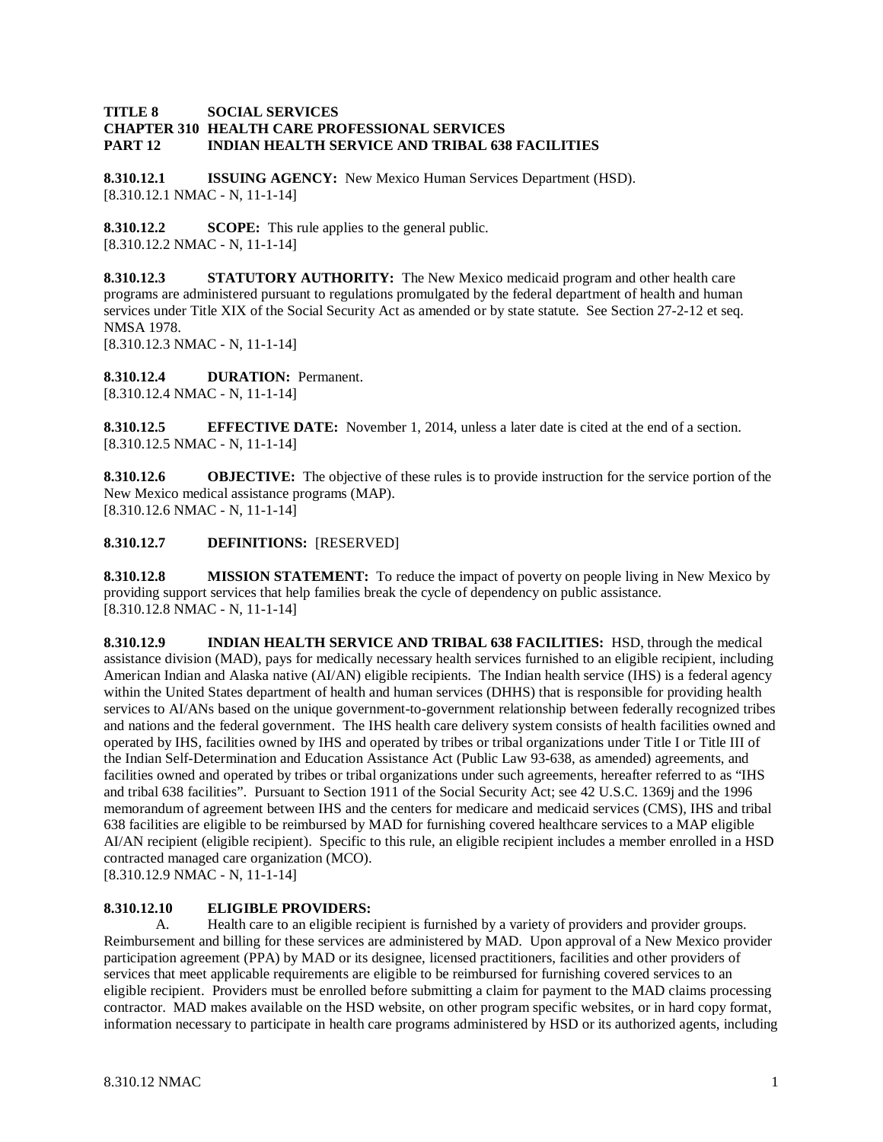#### **TITLE 8 SOCIAL SERVICES CHAPTER 310 HEALTH CARE PROFESSIONAL SERVICES PART 12 INDIAN HEALTH SERVICE AND TRIBAL 638 FACILITIES**

**8.310.12.1 ISSUING AGENCY:** New Mexico Human Services Department (HSD). [8.310.12.1 NMAC - N, 11-1-14]

**8.310.12.2 SCOPE:** This rule applies to the general public. [8.310.12.2 NMAC - N, 11-1-14]

**8.310.12.3 STATUTORY AUTHORITY:** The New Mexico medicaid program and other health care programs are administered pursuant to regulations promulgated by the federal department of health and human services under Title XIX of the Social Security Act as amended or by state statute. See Section 27-2-12 et seq. NMSA 1978.

[8.310.12.3 NMAC - N, 11-1-14]

**8.310.12.4 DURATION:** Permanent. [8.310.12.4 NMAC - N, 11-1-14]

**8.310.12.5 EFFECTIVE DATE:** November 1, 2014, unless a later date is cited at the end of a section. [8.310.12.5 NMAC - N, 11-1-14]

**8.310.12.6 OBJECTIVE:** The objective of these rules is to provide instruction for the service portion of the New Mexico medical assistance programs (MAP). [8.310.12.6 NMAC - N, 11-1-14]

### **8.310.12.7 DEFINITIONS:** [RESERVED]

**8.310.12.8 MISSION STATEMENT:** To reduce the impact of poverty on people living in New Mexico by providing support services that help families break the cycle of dependency on public assistance. [8.310.12.8 NMAC - N, 11-1-14]

**8.310.12.9 INDIAN HEALTH SERVICE AND TRIBAL 638 FACILITIES:** HSD, through the medical assistance division (MAD), pays for medically necessary health services furnished to an eligible recipient, including American Indian and Alaska native (AI/AN) eligible recipients. The Indian health service (IHS) is a federal agency within the United States department of health and human services (DHHS) that is responsible for providing health services to AI/ANs based on the unique government-to-government relationship between federally recognized tribes and nations and the federal government. The IHS health care delivery system consists of health facilities owned and operated by IHS, facilities owned by IHS and operated by tribes or tribal organizations under Title I or Title III of the Indian Self-Determination and Education Assistance Act (Public Law 93-638, as amended) agreements, and facilities owned and operated by tribes or tribal organizations under such agreements, hereafter referred to as "IHS and tribal 638 facilities". Pursuant to Section 1911 of the Social Security Act; see 42 U.S.C. 1369j and the 1996 memorandum of agreement between IHS and the centers for medicare and medicaid services (CMS), IHS and tribal 638 facilities are eligible to be reimbursed by MAD for furnishing covered healthcare services to a MAP eligible AI/AN recipient (eligible recipient). Specific to this rule, an eligible recipient includes a member enrolled in a HSD contracted managed care organization (MCO).

[8.310.12.9 NMAC - N, 11-1-14]

#### **8.310.12.10 ELIGIBLE PROVIDERS:**

A. Health care to an eligible recipient is furnished by a variety of providers and provider groups. Reimbursement and billing for these services are administered by MAD. Upon approval of a New Mexico provider participation agreement (PPA) by MAD or its designee, licensed practitioners, facilities and other providers of services that meet applicable requirements are eligible to be reimbursed for furnishing covered services to an eligible recipient. Providers must be enrolled before submitting a claim for payment to the MAD claims processing contractor. MAD makes available on the HSD website, on other program specific websites, or in hard copy format, information necessary to participate in health care programs administered by HSD or its authorized agents, including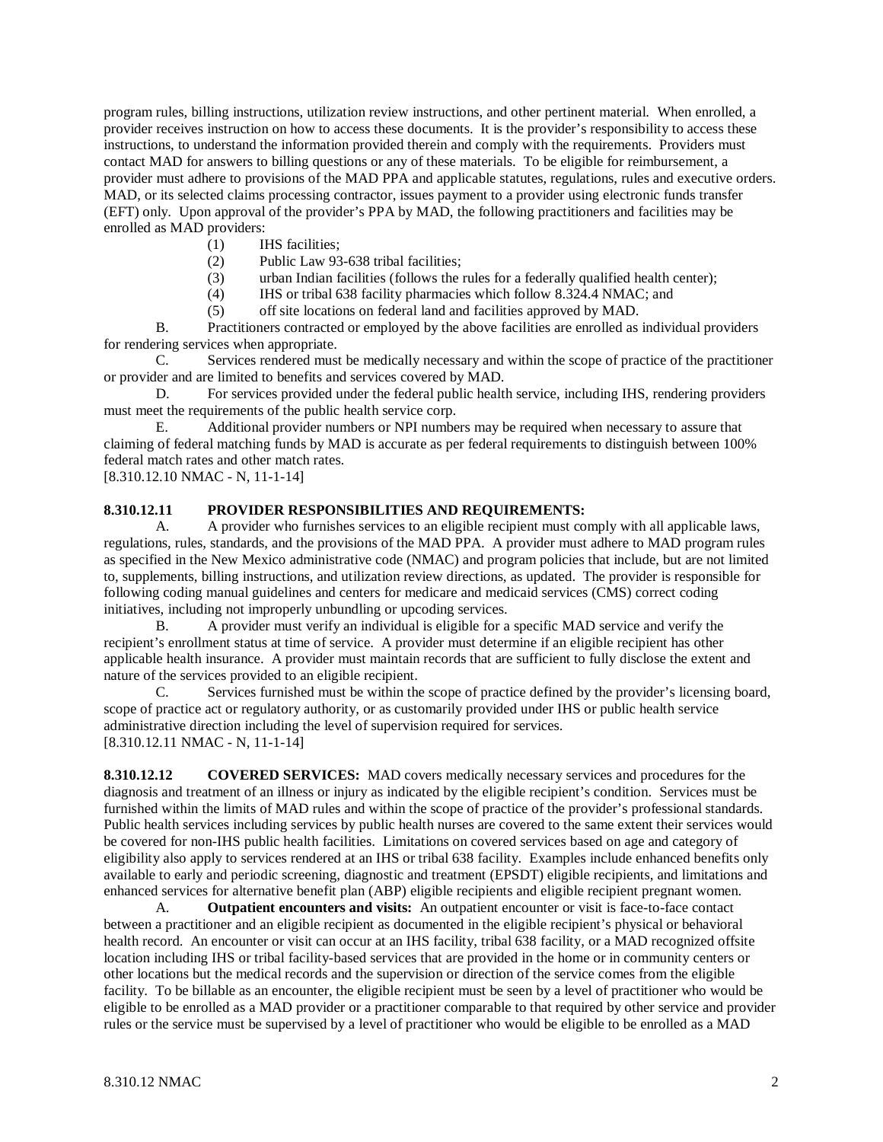program rules, billing instructions, utilization review instructions, and other pertinent material. When enrolled, a provider receives instruction on how to access these documents. It is the provider's responsibility to access these instructions, to understand the information provided therein and comply with the requirements. Providers must contact MAD for answers to billing questions or any of these materials. To be eligible for reimbursement, a provider must adhere to provisions of the MAD PPA and applicable statutes, regulations, rules and executive orders. MAD, or its selected claims processing contractor, issues payment to a provider using electronic funds transfer (EFT) only. Upon approval of the provider's PPA by MAD, the following practitioners and facilities may be enrolled as MAD providers:

- (1) IHS facilities;
- (2) Public Law 93-638 tribal facilities;
- (3) urban Indian facilities (follows the rules for a federally qualified health center);
- (4) IHS or tribal 638 facility pharmacies which follow 8.324.4 NMAC; and
- (5) off site locations on federal land and facilities approved by MAD.

B. Practitioners contracted or employed by the above facilities are enrolled as individual providers for rendering services when appropriate.

C. Services rendered must be medically necessary and within the scope of practice of the practitioner or provider and are limited to benefits and services covered by MAD.

D. For services provided under the federal public health service, including IHS, rendering providers must meet the requirements of the public health service corp.

E. Additional provider numbers or NPI numbers may be required when necessary to assure that claiming of federal matching funds by MAD is accurate as per federal requirements to distinguish between 100% federal match rates and other match rates.

[8.310.12.10 NMAC - N, 11-1-14]

#### **8.310.12.11 PROVIDER RESPONSIBILITIES AND REQUIREMENTS:**

A. A provider who furnishes services to an eligible recipient must comply with all applicable laws, regulations, rules, standards, and the provisions of the MAD PPA. A provider must adhere to MAD program rules as specified in the New Mexico administrative code (NMAC) and program policies that include, but are not limited to, supplements, billing instructions, and utilization review directions, as updated. The provider is responsible for following coding manual guidelines and centers for medicare and medicaid services (CMS) correct coding initiatives, including not improperly unbundling or upcoding services.

B. A provider must verify an individual is eligible for a specific MAD service and verify the recipient's enrollment status at time of service. A provider must determine if an eligible recipient has other applicable health insurance. A provider must maintain records that are sufficient to fully disclose the extent and nature of the services provided to an eligible recipient.

C. Services furnished must be within the scope of practice defined by the provider's licensing board, scope of practice act or regulatory authority, or as customarily provided under IHS or public health service administrative direction including the level of supervision required for services. [8.310.12.11 NMAC - N, 11-1-14]

**8.310.12.12 COVERED SERVICES:** MAD covers medically necessary services and procedures for the diagnosis and treatment of an illness or injury as indicated by the eligible recipient's condition. Services must be furnished within the limits of MAD rules and within the scope of practice of the provider's professional standards. Public health services including services by public health nurses are covered to the same extent their services would be covered for non-IHS public health facilities. Limitations on covered services based on age and category of eligibility also apply to services rendered at an IHS or tribal 638 facility. Examples include enhanced benefits only available to early and periodic screening, diagnostic and treatment (EPSDT) eligible recipients, and limitations and enhanced services for alternative benefit plan (ABP) eligible recipients and eligible recipient pregnant women.

A. **Outpatient encounters and visits:** An outpatient encounter or visit is face-to-face contact between a practitioner and an eligible recipient as documented in the eligible recipient's physical or behavioral health record. An encounter or visit can occur at an IHS facility, tribal 638 facility, or a MAD recognized offsite location including IHS or tribal facility-based services that are provided in the home or in community centers or other locations but the medical records and the supervision or direction of the service comes from the eligible facility. To be billable as an encounter, the eligible recipient must be seen by a level of practitioner who would be eligible to be enrolled as a MAD provider or a practitioner comparable to that required by other service and provider rules or the service must be supervised by a level of practitioner who would be eligible to be enrolled as a MAD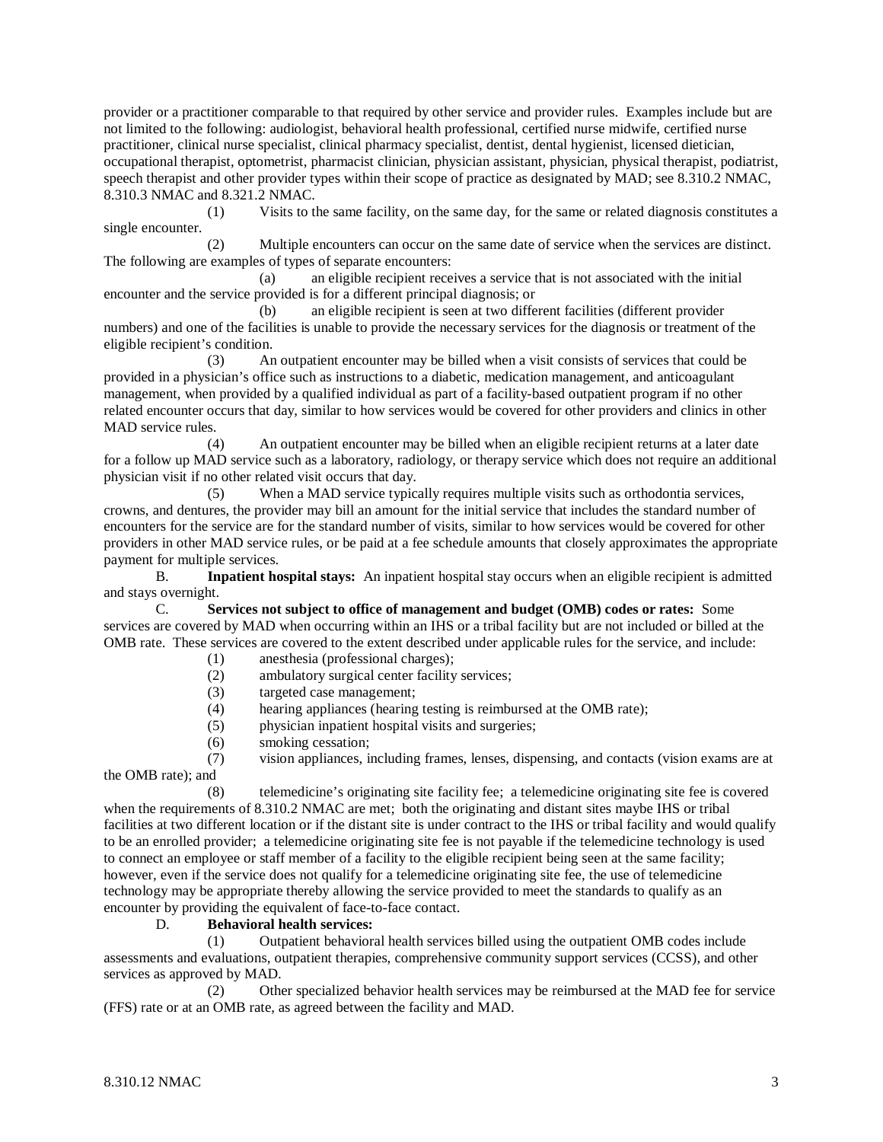provider or a practitioner comparable to that required by other service and provider rules. Examples include but are not limited to the following: audiologist, behavioral health professional, certified nurse midwife, certified nurse practitioner, clinical nurse specialist, clinical pharmacy specialist, dentist, dental hygienist, licensed dietician, occupational therapist, optometrist, pharmacist clinician, physician assistant, physician, physical therapist, podiatrist, speech therapist and other provider types within their scope of practice as designated by MAD; see 8.310.2 NMAC, 8.310.3 NMAC and 8.321.2 NMAC.

(1) Visits to the same facility, on the same day, for the same or related diagnosis constitutes a single encounter.

(2) Multiple encounters can occur on the same date of service when the services are distinct. The following are examples of types of separate encounters:

(a) an eligible recipient receives a service that is not associated with the initial encounter and the service provided is for a different principal diagnosis; or

(b) an eligible recipient is seen at two different facilities (different provider numbers) and one of the facilities is unable to provide the necessary services for the diagnosis or treatment of the eligible recipient's condition.

(3) An outpatient encounter may be billed when a visit consists of services that could be provided in a physician's office such as instructions to a diabetic, medication management, and anticoagulant management, when provided by a qualified individual as part of a facility-based outpatient program if no other related encounter occurs that day, similar to how services would be covered for other providers and clinics in other MAD service rules.

(4) An outpatient encounter may be billed when an eligible recipient returns at a later date for a follow up MAD service such as a laboratory, radiology, or therapy service which does not require an additional physician visit if no other related visit occurs that day.

(5) When a MAD service typically requires multiple visits such as orthodontia services, crowns, and dentures, the provider may bill an amount for the initial service that includes the standard number of encounters for the service are for the standard number of visits, similar to how services would be covered for other providers in other MAD service rules, or be paid at a fee schedule amounts that closely approximates the appropriate payment for multiple services.

B. **Inpatient hospital stays:** An inpatient hospital stay occurs when an eligible recipient is admitted and stays overnight.

C. **Services not subject to office of management and budget (OMB) codes or rates:** Some services are covered by MAD when occurring within an IHS or a tribal facility but are not included or billed at the OMB rate. These services are covered to the extent described under applicable rules for the service, and include:

- (1) anesthesia (professional charges);
- (2) ambulatory surgical center facility services;
- (3) targeted case management;
- (4) hearing appliances (hearing testing is reimbursed at the OMB rate);
- (5) physician inpatient hospital visits and surgeries;
- (6) smoking cessation;

(7) vision appliances, including frames, lenses, dispensing, and contacts (vision exams are at the OMB rate); and

(8) telemedicine's originating site facility fee; a telemedicine originating site fee is covered when the requirements of 8.310.2 NMAC are met; both the originating and distant sites maybe IHS or tribal facilities at two different location or if the distant site is under contract to the IHS or tribal facility and would qualify to be an enrolled provider; a telemedicine originating site fee is not payable if the telemedicine technology is used to connect an employee or staff member of a facility to the eligible recipient being seen at the same facility; however, even if the service does not qualify for a telemedicine originating site fee, the use of telemedicine technology may be appropriate thereby allowing the service provided to meet the standards to qualify as an encounter by providing the equivalent of face-to-face contact.

## D. **Behavioral health services:**

(1) Outpatient behavioral health services billed using the outpatient OMB codes include assessments and evaluations, outpatient therapies, comprehensive community support services (CCSS), and other services as approved by MAD.

(2) Other specialized behavior health services may be reimbursed at the MAD fee for service (FFS) rate or at an OMB rate, as agreed between the facility and MAD.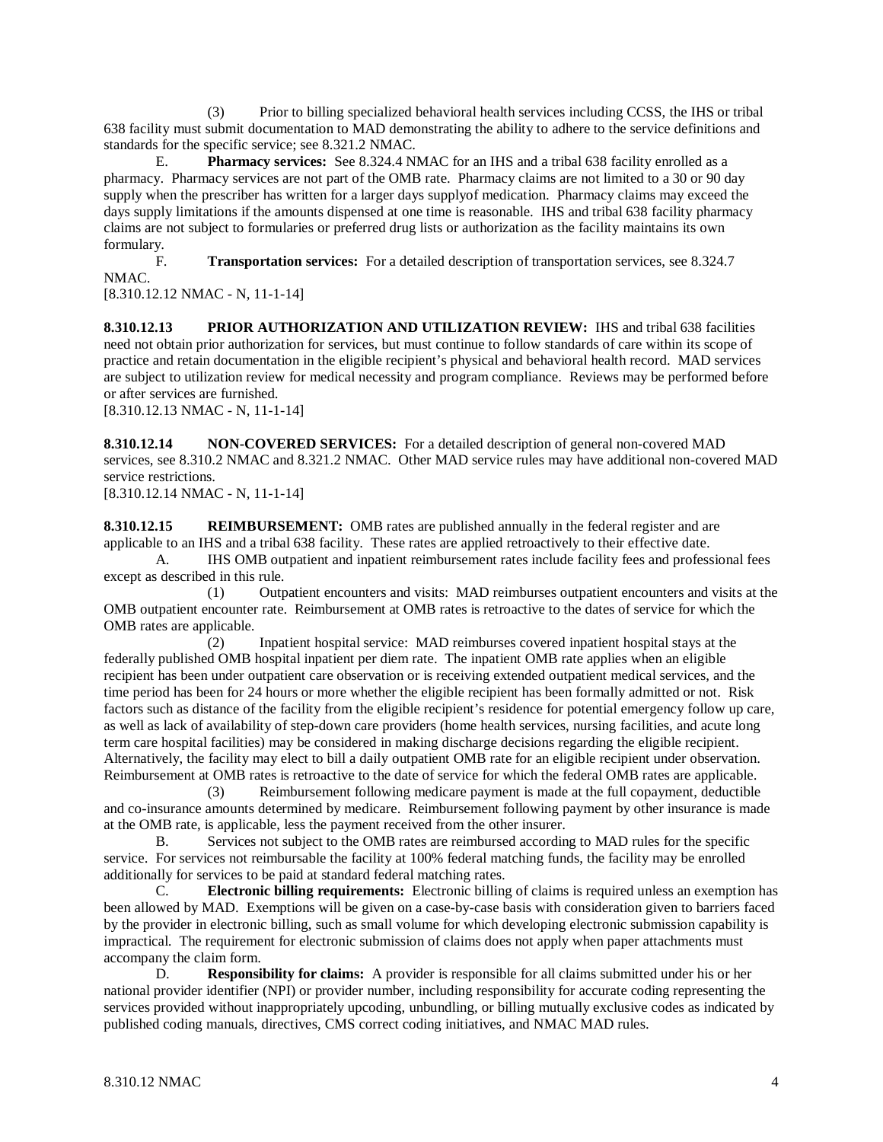(3) Prior to billing specialized behavioral health services including CCSS, the IHS or tribal 638 facility must submit documentation to MAD demonstrating the ability to adhere to the service definitions and standards for the specific service; see 8.321.2 NMAC.

E. **Pharmacy services:** See 8.324.4 NMAC for an IHS and a tribal 638 facility enrolled as a pharmacy. Pharmacy services are not part of the OMB rate. Pharmacy claims are not limited to a 30 or 90 day supply when the prescriber has written for a larger days supplyof medication. Pharmacy claims may exceed the days supply limitations if the amounts dispensed at one time is reasonable. IHS and tribal 638 facility pharmacy claims are not subject to formularies or preferred drug lists or authorization as the facility maintains its own formulary.

F. **Transportation services:** For a detailed description of transportation services, see 8.324.7 NMAC.

[8.310.12.12 NMAC - N, 11-1-14]

**8.310.12.13 PRIOR AUTHORIZATION AND UTILIZATION REVIEW:** IHS and tribal 638 facilities need not obtain prior authorization for services, but must continue to follow standards of care within its scope of practice and retain documentation in the eligible recipient's physical and behavioral health record. MAD services are subject to utilization review for medical necessity and program compliance. Reviews may be performed before or after services are furnished.

[8.310.12.13 NMAC - N, 11-1-14]

**8.310.12.14 NON-COVERED SERVICES:** For a detailed description of general non-covered MAD services, see 8.310.2 NMAC and 8.321.2 NMAC. Other MAD service rules may have additional non-covered MAD service restrictions.

[8.310.12.14 NMAC - N, 11-1-14]

**8.310.12.15 REIMBURSEMENT:** OMB rates are published annually in the federal register and are applicable to an IHS and a tribal 638 facility. These rates are applied retroactively to their effective date.

A. IHS OMB outpatient and inpatient reimbursement rates include facility fees and professional fees except as described in this rule.

(1) Outpatient encounters and visits: MAD reimburses outpatient encounters and visits at the OMB outpatient encounter rate. Reimbursement at OMB rates is retroactive to the dates of service for which the OMB rates are applicable.

(2) Inpatient hospital service: MAD reimburses covered inpatient hospital stays at the federally published OMB hospital inpatient per diem rate. The inpatient OMB rate applies when an eligible recipient has been under outpatient care observation or is receiving extended outpatient medical services, and the time period has been for 24 hours or more whether the eligible recipient has been formally admitted or not. Risk factors such as distance of the facility from the eligible recipient's residence for potential emergency follow up care, as well as lack of availability of step-down care providers (home health services, nursing facilities, and acute long term care hospital facilities) may be considered in making discharge decisions regarding the eligible recipient. Alternatively, the facility may elect to bill a daily outpatient OMB rate for an eligible recipient under observation. Reimbursement at OMB rates is retroactive to the date of service for which the federal OMB rates are applicable.

(3) Reimbursement following medicare payment is made at the full copayment, deductible and co-insurance amounts determined by medicare. Reimbursement following payment by other insurance is made at the OMB rate, is applicable, less the payment received from the other insurer.

B. Services not subject to the OMB rates are reimbursed according to MAD rules for the specific service. For services not reimbursable the facility at 100% federal matching funds, the facility may be enrolled additionally for services to be paid at standard federal matching rates.

C. **Electronic billing requirements:** Electronic billing of claims is required unless an exemption has been allowed by MAD. Exemptions will be given on a case-by-case basis with consideration given to barriers faced by the provider in electronic billing, such as small volume for which developing electronic submission capability is impractical. The requirement for electronic submission of claims does not apply when paper attachments must accompany the claim form.

D. **Responsibility for claims:** A provider is responsible for all claims submitted under his or her national provider identifier (NPI) or provider number, including responsibility for accurate coding representing the services provided without inappropriately upcoding, unbundling, or billing mutually exclusive codes as indicated by published coding manuals, directives, CMS correct coding initiatives, and NMAC MAD rules.